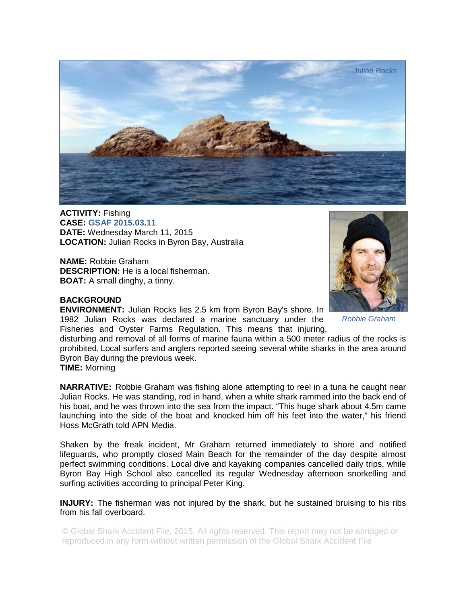

**ACTIVITY:** Fishing **CASE: GSAF 2015.03.11 DATE:** Wednesday March 11, 2015 **LOCATION:** Julian Rocks in Byron Bay, Australia

**NAME:** Robbie Graham **DESCRIPTION:** He is a local fisherman. **BOAT:** A small dinghy, a tinny.

## **BACKGROUND**

**ENVIRONMENT:** Julian Rocks lies 2.5 km from Byron Bay's shore. In 1982 Julian Rocks was declared a marine sanctuary under the Fisheries and Oyster Farms Regulation. This means that injuring,



*Robbie Graham* 

disturbing and removal of all forms of marine fauna within a 500 meter radius of the rocks is prohibited. Local surfers and anglers reported seeing several white sharks in the area around Byron Bay during the previous week.

**TIME:** Morning

**NARRATIVE:** Robbie Graham was fishing alone attempting to reel in a tuna he caught near Julian Rocks. He was standing, rod in hand, when a white shark rammed into the back end of his boat, and he was thrown into the sea from the impact. "This huge shark about 4.5m came launching into the side of the boat and knocked him off his feet into the water," his friend Hoss McGrath told APN Media.

Shaken by the freak incident, Mr Graham returned immediately to shore and notified lifeguards, who promptly closed Main Beach for the remainder of the day despite almost perfect swimming conditions. Local dive and kayaking companies cancelled daily trips, while Byron Bay High School also cancelled its regular Wednesday afternoon snorkelling and surfing activities according to principal Peter King.

**INJURY:** The fisherman was not injured by the shark, but he sustained bruising to his ribs from his fall overboard.

© Global Shark Accident File, 2015. All rights reserved. This report may not be abridged or reproduced in any form without written permission of the Global Shark Accident File